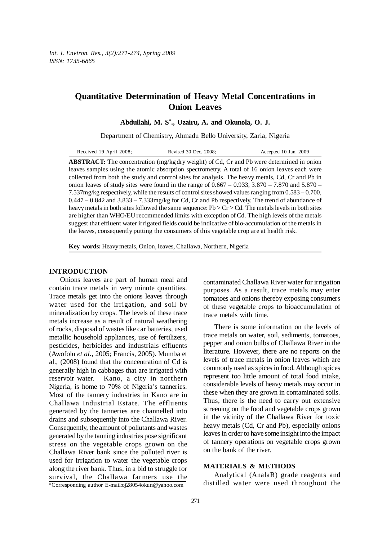# **Quantitative Determination of Heavy Metal Concentrations in Onion Leaves**

**Abdullahi, M. S\* ., Uzairu, A. and Okunola, O. J.**

Department of Chemistry, Ahmadu Bello University, Zaria, Nigeria

| Received 19 April 2008; | Revised 30 Dec. 2008; | Accepted 10 Jan. 2009 |
|-------------------------|-----------------------|-----------------------|
|-------------------------|-----------------------|-----------------------|

**ABSTRACT:** The concentration (mg/kg dry weight) of Cd, Cr and Pb were determined in onion leaves samples using the atomic absorption spectrometry. A total of 16 onion leaves each were collected from both the study and control sites for analysis. The heavy metals, Cd, Cr and Pb in onion leaves of study sites were found in the range of  $0.667 - 0.933$ ,  $3.870 - 7.870$  and  $5.870 -$ 7.537mg/kg respectively, while the results of control sites showed values ranging from 0.583 – 0.700, 0.447 – 0.842 and 3.833 – 7.333mg/kg for Cd, Cr and Pb respectively. The trend of abundance of heavy metals in both sites followed the same sequence:  $Pb > Cr > Cd$ . The metals levels in both sites are higher than WHO/EU recommended limits with exception of Cd. The high levels of the metals suggest that effluent water irrigated fields could be indicative of bio-accumulation of the metals in the leaves, consequently putting the consumers of this vegetable crop are at health risk.

**Key words:** Heavy metals, Onion, leaves, Challawa, Northern, Nigeria

### **INTRODUCTION**

\*Corresponding author E-mail:oj28054okun@yahoo.com Onions leaves are part of human meal and contain trace metals in very minute quantities. Trace metals get into the onions leaves through water used for the irrigation, and soil by mineralization by crops. The levels of these trace metals increase as a result of natural weathering of rocks, disposal of wastes like car batteries, used metallic household appliances, use of fertilizers, pesticides, herbicides and industrials effluents (Awofolu *et al.,* 2005; Francis, 2005). Mumba et al., (2008) found that the concentration of Cd is generally high in cabbages that are irrigated with reservoir water. Kano, a city in northern Nigeria, is home to 70% of Nigeria's tanneries. Most of the tannery industries in Kano are in Challawa Industrial Estate. The effluents generated by the tanneries are channelled into drains and subsequently into the Challawa River. Consequently, the amount of pollutants and wastes generated by the tanning industries pose significant stress on the vegetable crops grown on the Challawa River bank since the polluted river is used for irrigation to water the vegetable crops along the river bank. Thus, in a bid to struggle for survival, the Challawa farmers use the

contaminated Challawa River water for irrigation purposes. As a result, trace metals may enter tomatoes and onions thereby exposing consumers of these vegetable crops to bioaccumulation of trace metals with time.

There is some information on the levels of trace metals on water, soil, sediments, tomatoes, pepper and onion bulbs of Challawa River in the literature. However, there are no reports on the levels of trace metals in onion leaves which are commonly used as spices in food. Although spices represent too little amount of total food intake, considerable levels of heavy metals may occur in these when they are grown in contaminated soils. Thus, there is the need to carry out extensive screening on the food and vegetable crops grown in the vicinity of the Challawa River for toxic heavy metals (Cd, Cr and Pb), especially onions leaves in order to have some insight into the impact of tannery operations on vegetable crops grown on the bank of the river.

## **MATERIALS & METHODS**

Analytical (AnalaR) grade reagents and distilled water were used throughout the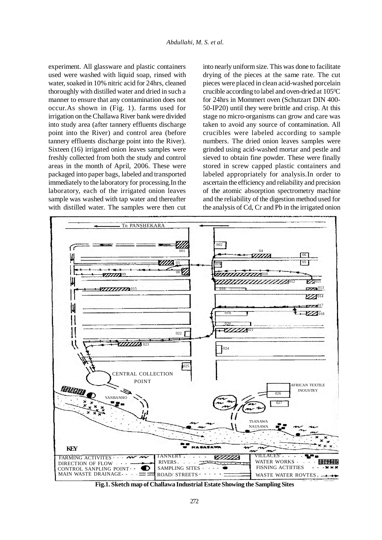experiment. All glassware and plastic containers used were washed with liquid soap, rinsed with water, soaked in 10% nitric acid for 24hrs, cleaned thoroughly with distilled water and dried in such a manner to ensure that any contamination does not occur.As shown in (Fig. 1). farms used for irrigation on the Challawa River bank were divided into study area (after tannery effluents discharge point into the River) and control area (before tannery effluents discharge point into the River). Sixteen (16) irrigated onion leaves samples were freshly collected from both the study and control areas in the month of April, 2006. These were packaged into paper bags, labeled and transported immediately to the laboratory for processing.In the laboratory, each of the irrigated onion leaves sample was washed with tap water and thereafter with distilled water. The samples were then cut into nearly uniform size. This was done to facilitate drying of the pieces at the same rate. The cut pieces were placed in clean acid-washed porcelain crucible according to label and oven-dried at  $105^{\circ}$ C for 24hrs in Mommert oven (Schutzart DIN 400- 50-IP20) until they were brittle and crisp. At this stage no micro-organisms can grow and care was taken to avoid any source of contamination. All crucibles were labeled according to sample numbers. The dried onion leaves samples were grinded using acid-washed mortar and pestle and sieved to obtain fine powder. These were finally stored in screw capped plastic containers and labeled appropriately for analysis.In order to ascertain the efficiency and reliability and precision of the atomic absorption spectrometry machine and the reliability of the digestion method used for the analysis of Cd, Cr and Pb in the irrigated onion



**Fig.1. Sketch map of Challawa Industrial Estate Showing the Sampling Sites**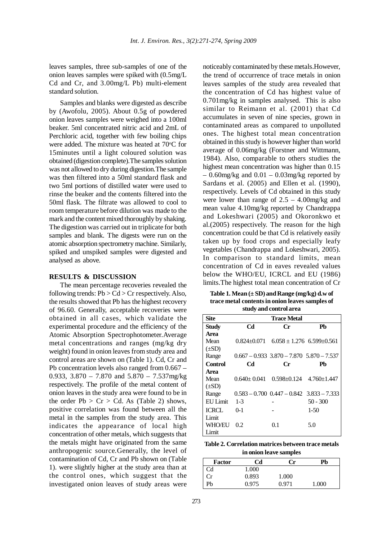leaves samples, three sub-samples of one of the onion leaves samples were spiked with (0.5mg/L Cd and Cr, and 3.00mg/L Pb) multi-element standard solution.

Samples and blanks were digested as describe by (Awofolu, 2005). About 0.5g of powdered onion leaves samples were weighed into a 100ml beaker. 5ml concentrated nitric acid and 2mL of Perchloric acid, together with few boiling chips were added. The mixture was heated at 70°C for 15minutes until a light coloured solution was obtained (digestion complete).The samples solution was not allowed to dry during digestion.The sample was then filtered into a 50ml standard flask and two 5ml portions of distilled water were used to rinse the beaker and the contents filtered into the 50ml flask. The filtrate was allowed to cool to room temperature before dilution was made to the mark and the content mixed thoroughly by shaking. The digestion was carried out in triplicate for both samples and blank. The digests were run on the atomic absorption spectrometry machine. Similarly, spiked and unspiked samples were digested and analysed as above.

#### **RESULTS & DISCUSSION**

The mean percentage recoveries revealed the following trends:  $Pb > Cd > Cr$  respectively. Also, the results showed that Pb has the highest recovery of 96.60. Generally, acceptable recoveries were obtained in all cases, which validate the experimental procedure and the efficiency of the Atomic Absorption Spectrophotometer.Average metal concentrations and ranges (mg/kg dry weight) found in onion leaves from study area and control areas are shown on (Table 1). Cd, Cr and Pb concentration levels also ranged from 0.667 – 0.933,  $3.870 - 7.870$  and  $5.870 - 7.537$ mg/kg respectively. The profile of the metal content of onion leaves in the study area were found to be in the order  $Pb > Cr > Cd$ . As (Table 2) shows, positive correlation was found between all the metal in the samples from the study area. This indicates the appearance of local high concentration of other metals, which suggests that the metals might have originated from the same anthropogenic source.Generally, the level of contamination of Cd, Cr and Pb shown on (Table 1). were slightly higher at the study area than at the control ones, which suggest that the investigated onion leaves of study areas were

noticeably contaminated by these metals.However, the trend of occurrence of trace metals in onion leaves samples of the study area revealed that the concentration of Cd has highest value of 0.701mg/kg in samples analysed. This is also similar to Reimann et al. (2001) that Cd accumulates in seven of nine species, grown in contaminated areas as compared to unpolluted ones. The highest total mean concentration obtained in this study is however higher than world average of 0.06mg/kg (Forstner and Wittmann, 1984). Also, comparable to others studies the highest mean concentration was higher than 0.15 – 0.60mg/kg and 0.01 – 0.03mg/kg reported by Sardans et al. (2005) and Ellen et al. (1990), respectively. Levels of Cd obtained in this study were lower than range of  $2.5 - 4.00$ mg/kg and mean value 4.10mg/kg reported by Chandrappa and Lokeshwari (2005) and Okoronkwo et al.(2005) respectively. The reason for the high concentration could be that Cd is relatively easily taken up by food crops and especially leafy vegetables (Chandrappa and Lokeshwari, 2005). In comparison to standard limits, mean concentration of Cd in eaves revealed values below the WHO/EU, ICRCL and EU (1986) limits.The highest total mean concentration of Cr

**Table 1. Mean (± SD) and Range (mg/kg) d.w of trace metal contents in onion leaves samples of study and control area**

| <b>Site</b>     |                    |                                                 |                                     |
|-----------------|--------------------|-------------------------------------------------|-------------------------------------|
|                 | <b>Trace Metal</b> |                                                 |                                     |
| Study           | Cd                 | Сr                                              | Ph                                  |
| Area            |                    |                                                 |                                     |
| Mean            | $0.824 \pm 0.071$  | $6.058 \pm 1.276$ 6.599+0.561                   |                                     |
| $(\pm SD)$      |                    |                                                 |                                     |
| Range           |                    | $0.667 - 0.933$ $3.870 - 7.870$ $5.870 - 7.537$ |                                     |
| <b>Control</b>  | CЛ                 | Сr                                              | Pb                                  |
| Area            |                    |                                                 |                                     |
| Mean            | $0.640 \pm 0.041$  |                                                 | $0.598 \pm 0.124$ 4.760 $\pm 1.447$ |
| $(\pm SD)$      |                    |                                                 |                                     |
| Range           |                    | $0.583 - 0.700$ $0.447 - 0.842$ $3.833 - 7.333$ |                                     |
| <b>EU</b> Limit | $1 - 3$            |                                                 | $50 - 300$                          |
| <b>ICRCL</b>    | $0-1$              |                                                 | $1-50$                              |
| Limit           |                    |                                                 |                                     |
| <b>WHO/EU</b>   | 0.2                | 0.1                                             | 5.0                                 |
| Limit           |                    |                                                 |                                     |

**Table 2. Correlation matrices between trace metals in onion leave samples**

| Factor | Сd    | Сr    | Pb    |
|--------|-------|-------|-------|
| Cd     | 1.000 |       |       |
| Сr     | 0.893 | 1.000 |       |
| Pb     | 0.975 | 0.971 | 1.000 |